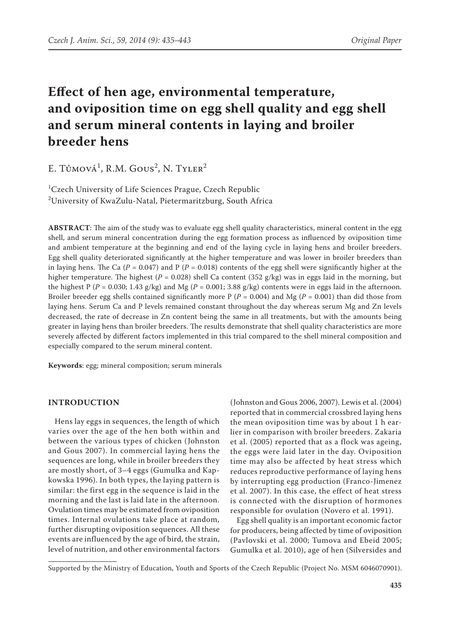# **Effect of hen age, environmental temperature, and oviposition time on egg shell quality and egg shell and serum mineral contents in laying and broiler breeder hens**

E. Tůmová<sup>1</sup>, R.M. Gous<sup>2</sup>, N. Tyler<sup>2</sup>

1 Czech University of Life Sciences Prague, Czech Republic  $^2$ University of KwaZulu-Natal, Pietermaritzburg, South Africa

**ABSTRACT**: The aim of the study was to evaluate egg shell quality characteristics, mineral content in the egg shell, and serum mineral concentration during the egg formation process as influenced by oviposition time and ambient temperature at the beginning and end of the laying cycle in laying hens and broiler breeders. Egg shell quality deteriorated significantly at the higher temperature and was lower in broiler breeders than in laying hens. The Ca ( $P = 0.047$ ) and P ( $P = 0.018$ ) contents of the egg shell were significantly higher at the higher temperature. The highest ( $P = 0.028$ ) shell Ca content (352 g/kg) was in eggs laid in the morning, but the highest P ( $P = 0.030$ ; 1.43 g/kg) and Mg ( $P = 0.001$ ; 3.88 g/kg) contents were in eggs laid in the afternoon. Broiler breeder egg shells contained significantly more  $P(P = 0.004)$  and Mg ( $P = 0.001$ ) than did those from laying hens. Serum Ca and P levels remained constant throughout the day whereas serum Mg and Zn levels decreased, the rate of decrease in Zn content being the same in all treatments, but with the amounts being greater in laying hens than broiler breeders. The results demonstrate that shell quality characteristics are more severely affected by different factors implemented in this trial compared to the shell mineral composition and especially compared to the serum mineral content.

**Keywords**: egg; mineral composition; serum minerals

### **INTRODUCTION**

Hens lay eggs in sequences, the length of which varies over the age of the hen both within and between the various types of chicken (Johnston and Gous 2007). In commercial laying hens the sequences are long, while in broiler breeders they are mostly short, of 3–4 eggs (Gumulka and Kapkowska 1996). In both types, the laying pattern is similar: the first egg in the sequence is laid in the morning and the last is laid late in the afternoon. Ovulation times may be estimated from oviposition times. Internal ovulations take place at random, further disrupting oviposition sequences. All these events are influenced by the age of bird, the strain, level of nutrition, and other environmental factors

(Johnston and Gous 2006, 2007). Lewis et al. (2004) reported that in commercial crossbred laying hens the mean oviposition time was by about 1 h earlier in comparison with broiler breeders. Zakaria et al. (2005) reported that as a flock was ageing, the eggs were laid later in the day. Oviposition time may also be affected by heat stress which reduces reproductive performance of laying hens by interrupting egg production (Franco-Jimenez et al. 2007). In this case, the effect of heat stress is connected with the disruption of hormones responsible for ovulation (Novero et al. 1991).

Egg shell quality is an important economic factor for producers, being affected by time of oviposition (Pavlovski et al. 2000; Tumova and Ebeid 2005; Gumulka et al. 2010), age of hen (Silversides and

Supported by the Ministry of Education, Youth and Sports of the Czech Republic (Project No. MSM 6046070901).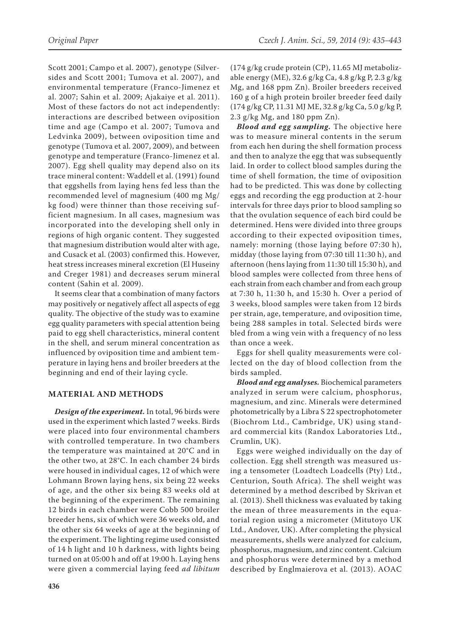Scott 2001; Campo et al. 2007), genotype (Silversides and Scott 2001; Tumova et al. 2007), and environmental temperature (Franco-Jimenez et al. 2007; Sahin et al. 2009; Ajakaiye et al. 2011). Most of these factors do not act independently: interactions are described between oviposition time and age (Campo et al. 2007; Tumova and Ledvinka 2009), between oviposition time and genotype (Tumova et al. 2007, 2009), and between genotype and temperature (Franco-Jimenez et al. 2007). Egg shell quality may depend also on its trace mineral content: Waddell et al. (1991) found that eggshells from laying hens fed less than the recommended level of magnesium (400 mg Mg/ kg food) were thinner than those receiving sufficient magnesium. In all cases, magnesium was incorporated into the developing shell only in regions of high organic content. They suggested that magnesium distribution would alter with age, and Cusack et al. (2003) confirmed this. However, heat stress increases mineral excretion (El Huseiny and Creger 1981) and decreases serum mineral content (Sahin et al. 2009).

It seems clear that a combination of many factors may positively or negatively affect all aspects of egg quality. The objective of the study was to examine egg quality parameters with special attention being paid to egg shell characteristics, mineral content in the shell, and serum mineral concentration as influenced by oviposition time and ambient temperature in laying hens and broiler breeders at the beginning and end of their laying cycle.

## **MATERIAL AND METHODS**

*Design of the experiment.* In total, 96 birds were used in the experiment which lasted 7 weeks. Birds were placed into four environmental chambers with controlled temperature. In two chambers the temperature was maintained at 20°C and in the other two, at 28°C. In each chamber 24 birds were housed in individual cages, 12 of which were Lohmann Brown laying hens, six being 22 weeks of age, and the other six being 83 weeks old at the beginning of the experiment. The remaining 12 birds in each chamber were Cobb 500 broiler breeder hens, six of which were 36 weeks old, and the other six 64 weeks of age at the beginning of the experiment. The lighting regime used consisted of 14 h light and 10 h darkness, with lights being turned on at 05:00 h and off at 19:00 h. Laying hens were given a commercial laying feed *ad libitum*  (174 g/kg crude protein (CP), 11.65 MJ metabolizable energy (ME), 32.6 g/kg Ca, 4.8 g/kg P, 2.3 g/kg Mg, and 168 ppm Zn). Broiler breeders received 160 g of a high protein broiler breeder feed daily (174 g/kg CP, 11.31 MJ ME, 32.8 g/kg Ca, 5.0 g/kg P, 2.3 g/kg Mg, and 180 ppm Zn).

*Blood and egg sampling.* The objective here was to measure mineral contents in the serum from each hen during the shell formation process and then to analyze the egg that was subsequently laid. In order to collect blood samples during the time of shell formation, the time of oviposition had to be predicted. This was done by collecting eggs and recording the egg production at 2-hour intervals for three days prior to blood sampling so that the ovulation sequence of each bird could be determined. Hens were divided into three groups according to their expected oviposition times, namely: morning (those laying before 07:30 h), midday (those laying from 07:30 till 11:30 h), and afternoon (hens laying from 11:30 till 15:30 h), and blood samples were collected from three hens of each strain from each chamber and from each group at 7:30 h, 11:30 h, and 15:30 h. Over a period of 3 weeks, blood samples were taken from 12 birds per strain, age, temperature, and oviposition time, being 288 samples in total. Selected birds were bled from a wing vein with a frequency of no less than once a week.

Eggs for shell quality measurements were collected on the day of blood collection from the birds sampled.

*Blood and egg analyses.* Biochemical parameters analyzed in serum were calcium, phosphorus, magnesium, and zinc. Minerals were determined photometrically by a Libra S 22 spectrophotometer (Biochrom Ltd., Cambridge, UK) using standard commercial kits (Randox Laboratories Ltd., Crumlin, UK).

Eggs were weighed individually on the day of collection. Egg shell strength was measured using a tensometer (Loadtech Loadcells (Pty) Ltd., Centurion, South Africa). The shell weight was determined by a method described by Skrivan et al. (2013). Shell thickness was evaluated by taking the mean of three measurements in the equatorial region using a micrometer (Mitutoyo UK Ltd., Andover, UK). After completing the physical measurements, shells were analyzed for calcium, phosphorus, magnesium, and zinc content. Calcium and phosphorus were determined by a method described by Englmaierova et al. (2013). AOAC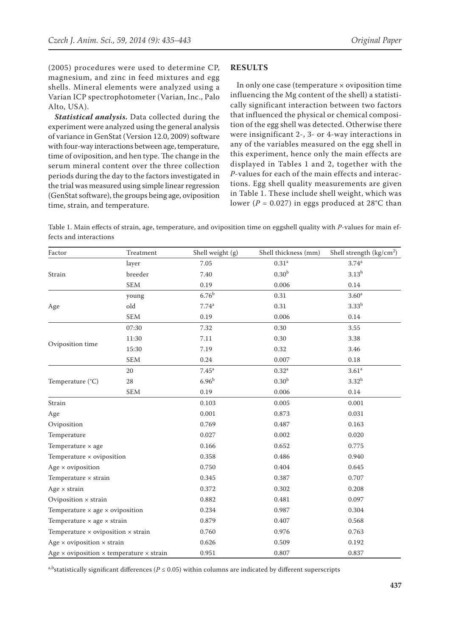(2005) procedures were used to determine CP, magnesium, and zinc in feed mixtures and egg shells. Mineral elements were analyzed using a Varian ICP spectrophotometer (Varian, Inc., Palo Alto, USA).

*Statistical analysis.* Data collected during the experiment were analyzed using the general analysis of variance in GenStat (Version 12.0, 2009) software with four-way interactions between age, temperature, time of oviposition, and hen type. The change in the serum mineral content over the three collection periods during the day to the factors investigated in the trial was measured using simple linear regression (GenStat software), the groups being age, oviposition time, strain, and temperature.

#### **RESULTS**

In only one case (temperature  $\times$  oviposition time influencing the Mg content of the shell) a statistically significant interaction between two factors that influenced the physical or chemical composition of the egg shell was detected. Otherwise there were insignificant 2-, 3- or 4-way interactions in any of the variables measured on the egg shell in this experiment, hence only the main effects are displayed in Tables 1 and 2, together with the *P*-values for each of the main effects and interactions. Egg shell quality measurements are given in Table 1. These include shell weight, which was lower ( $P = 0.027$ ) in eggs produced at 28°C than

Table 1. Main effects of strain, age, temperature, and oviposition time on eggshell quality with *P*-values for main effects and interactions

| Factor                                                        | Treatment   | Shell weight (g)  | Shell thickness (mm) | Shell strength $(kg/cm2)$ |
|---------------------------------------------------------------|-------------|-------------------|----------------------|---------------------------|
|                                                               | layer       | 7.05              | 0.31 <sup>a</sup>    | $3.74^{a}$                |
| Strain                                                        | breeder     | 7.40              | 0.30 <sup>b</sup>    | 3.13 <sup>b</sup>         |
|                                                               | <b>SEM</b>  | 0.19              | 0.006                | 0.14                      |
|                                                               | young       | $6.76^{\rm b}$    | 0.31                 | 3.60 <sup>a</sup>         |
| Age                                                           | old         | 7.74 <sup>a</sup> | 0.31                 | 3.33 <sup>b</sup>         |
|                                                               | <b>SEM</b>  | 0.19              | 0.006                | 0.14                      |
|                                                               | 07:30       | 7.32              | 0.30                 | 3.55                      |
|                                                               | 11:30       | 7.11              | 0.30                 | 3.38                      |
| Oviposition time                                              | 15:30       | 7.19              | 0.32                 | 3.46                      |
|                                                               | <b>SEM</b>  | 0.24              | 0.007                | $0.18\,$                  |
|                                                               | 20          | $7.45^{\rm a}$    | 0.32 <sup>a</sup>    | 3.61 <sup>a</sup>         |
| Temperature (°C)                                              | $28\,$      | 6.96 <sup>b</sup> | 0.30 <sup>b</sup>    | 3.32 <sup>b</sup>         |
|                                                               | ${\rm SEM}$ | 0.19              | 0.006                | $0.14\,$                  |
| Strain                                                        |             | 0.103             | 0.005                | 0.001                     |
| Age                                                           |             | 0.001             | 0.873                | 0.031                     |
| Oviposition                                                   |             | 0.769             | 0.487                | 0.163                     |
| Temperature                                                   |             | 0.027             | 0.002                | 0.020                     |
| Temperature × age                                             |             | 0.166             | 0.652                | 0.775                     |
| Temperature × oviposition                                     |             | 0.358             | 0.486                | 0.940                     |
| Age $\times$ oviposition                                      |             | 0.750             | 0.404                | 0.645                     |
| Temperature $\times$ strain                                   |             | 0.345             | 0.387                | 0.707                     |
| Age $\times$ strain                                           |             | 0.372             | 0.302                | 0.208                     |
| Oviposition x strain                                          |             | 0.882             | 0.481                | 0.097                     |
| Temperature $\times$ age $\times$ oviposition                 |             | 0.234             | 0.987                | 0.304                     |
| Temperature $\times$ age $\times$ strain                      |             | 0.879             | 0.407                | 0.568                     |
| Temperature $\times$ oviposition $\times$ strain              |             | 0.760             | 0.976                | 0.763                     |
| Age $\times$ oviposition $\times$ strain                      |             | 0.626             | 0.509                | 0.192                     |
| Age $\times$ oviposition $\times$ temperature $\times$ strain |             | 0.951             | 0.807                | 0.837                     |

a,bstatistically significant differences ( $P \le 0.05$ ) within columns are indicated by different superscripts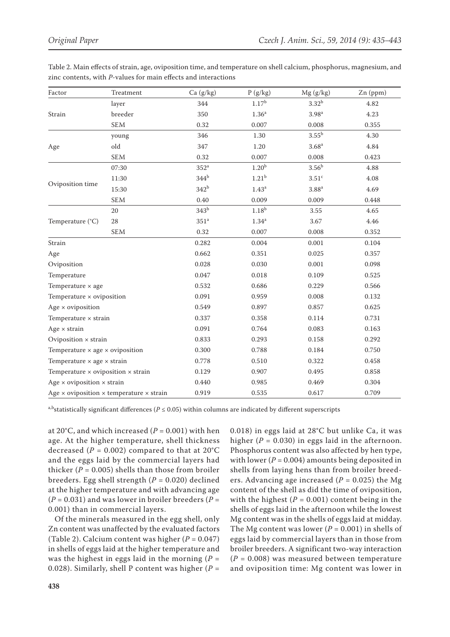| Factor                                           | Treatment                                                     | Ca (g/kg)        | P(g/kg)           | Mg(g/kg)          | Zn (ppm) |
|--------------------------------------------------|---------------------------------------------------------------|------------------|-------------------|-------------------|----------|
|                                                  | layer                                                         | 344              | 1.17 <sup>b</sup> | 3.32 <sup>b</sup> | 4.82     |
| Strain                                           | breeder                                                       | 350              | 1.36 <sup>a</sup> | 3.98 <sup>a</sup> | 4.23     |
|                                                  | <b>SEM</b>                                                    | 0.32             | 0.007             | 0.008             | 0.355    |
|                                                  | young                                                         | 346              | 1.30              | $3.55^{\rm b}$    | 4.30     |
| Age                                              | old                                                           | 347              | 1.20              | 3.68 <sup>a</sup> | 4.84     |
|                                                  | SEM                                                           | 0.32             | 0.007             | 0.008             | 0.423    |
|                                                  | 07:30                                                         | 352 <sup>a</sup> | 1.20 <sup>b</sup> | 3.56 <sup>b</sup> | 4.88     |
|                                                  | 11:30                                                         | 344 <sup>b</sup> | 1.21 <sup>b</sup> | 3.51 <sup>c</sup> | 4.08     |
| Oviposition time                                 | 15:30                                                         | 342 <sup>b</sup> | 1.43 <sup>a</sup> | $3.88^{\rm a}$    | 4.69     |
|                                                  | <b>SEM</b>                                                    | 0.40             | 0.009             | 0.009             | 0.448    |
|                                                  | 20                                                            | 343 <sup>b</sup> | 1.18 <sup>b</sup> | 3.55              | 4.65     |
| Temperature (°C)                                 | 28                                                            | 351 <sup>a</sup> | 1.34 <sup>a</sup> | 3.67              | 4.46     |
|                                                  | SEM                                                           | 0.32             | 0.007             | 0.008             | 0.352    |
| Strain                                           |                                                               | 0.282            | 0.004             | 0.001             | 0.104    |
| Age                                              |                                                               | 0.662            | 0.351             | 0.025             | 0.357    |
| Oviposition                                      |                                                               | 0.028            | 0.030             | 0.001             | 0.098    |
| Temperature                                      |                                                               | 0.047            | 0.018             | 0.109             | 0.525    |
| Temperature $\times$ age                         |                                                               | 0.532            | 0.686             | 0.229             | 0.566    |
| Temperature × oviposition                        |                                                               | 0.091            | 0.959             | 0.008             | 0.132    |
| Age $\times$ oviposition                         |                                                               | 0.549            | 0.897             | 0.857             | 0.625    |
| Temperature $\times$ strain                      |                                                               | 0.337            | 0.358             | 0.114             | 0.731    |
| Age $\times$ strain                              |                                                               | 0.091            | 0.764             | 0.083             | 0.163    |
| Oviposition x strain                             |                                                               | 0.833            | 0.293             | 0.158             | 0.292    |
| Temperature $\times$ age $\times$ oviposition    |                                                               | 0.300            | 0.788             | 0.184             | 0.750    |
| Temperature $\times$ age $\times$ strain         |                                                               | 0.778            | 0.510             | 0.322             | 0.458    |
| Temperature $\times$ oviposition $\times$ strain |                                                               | 0.129            | 0.907             | 0.495             | 0.858    |
| Age $\times$ oviposition $\times$ strain         |                                                               | 0.440            | 0.985             | 0.469             | 0.304    |
|                                                  | Age $\times$ oviposition $\times$ temperature $\times$ strain | 0.919            | 0.535             | 0.617             | 0.709    |

Table 2. Main effects of strain, age, oviposition time, and temperature on shell calcium, phosphorus, magnesium, and zinc contents, with *P*-values for main effects and interactions

a,b<sub>statistically significant differences ( $P \le 0.05$ ) within columns are indicated by different superscripts</sub>

at 20 $\degree$ C, and which increased ( $P = 0.001$ ) with hen age. At the higher temperature, shell thickness decreased ( $P = 0.002$ ) compared to that at 20°C and the eggs laid by the commercial layers had thicker ( $P = 0.005$ ) shells than those from broiler breeders. Egg shell strength (*P* = 0.020) declined at the higher temperature and with advancing age  $(P = 0.031)$  and was lower in broiler breeders  $(P = 0.031)$ 0.001) than in commercial layers.

Of the minerals measured in the egg shell, only Zn content was unaffected by the evaluated factors (Table 2). Calcium content was higher (*P* = 0.047) in shells of eggs laid at the higher temperature and was the highest in eggs laid in the morning ( $P =$ 0.028). Similarly, shell P content was higher (*P* =

0.018) in eggs laid at 28°C but unlike Ca, it was higher ( $P = 0.030$ ) in eggs laid in the afternoon. Phosphorus content was also affected by hen type, with lower ( $P = 0.004$ ) amounts being deposited in shells from laying hens than from broiler breeders. Advancing age increased  $(P = 0.025)$  the Mg content of the shell as did the time of oviposition, with the highest  $(P = 0.001)$  content being in the shells of eggs laid in the afternoon while the lowest Mg content was in the shells of eggs laid at midday. The Mg content was lower  $(P = 0.001)$  in shells of eggs laid by commercial layers than in those from broiler breeders. A significant two-way interaction  $(P = 0.008)$  was measured between temperature and oviposition time: Mg content was lower in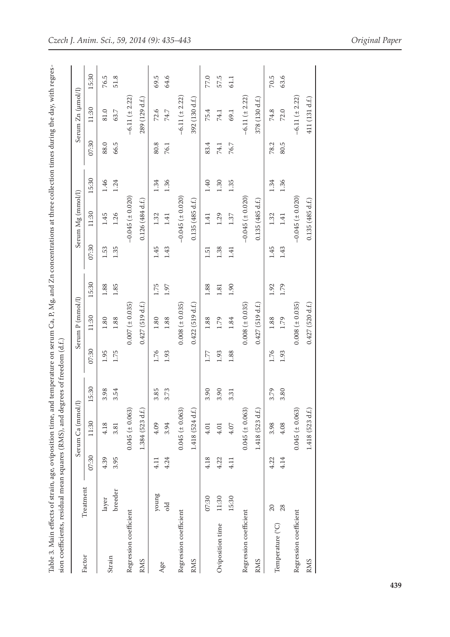| $\sim$ . D $\rm{M\alpha}$ and $\rm{Zn}$ annontrations at three collection times diliming the day, with<br>;<br>;<br>j<br>;<br>;<br>$\cdots$ and $\sum_{i=1}^{n}$                                                                                       |                                                                                                          |
|--------------------------------------------------------------------------------------------------------------------------------------------------------------------------------------------------------------------------------------------------------|----------------------------------------------------------------------------------------------------------|
| 5<br>timm en<br>e. an<br>cur checker of checker content of the checker content of the checker content of the checker content of the checker content of the checker content of the checker content of the checker content of the checker content of the | アー・ミュク アクシューナン じろ<br>うりょ<br>くろく<br>)<br>3<br>{<br>;<br>;<br><b>ブック ならう center ファッファン フォネクァク エキククク うち</b> |
|                                                                                                                                                                                                                                                        |                                                                                                          |

|                        |           |       | Serum Ca (mmol/l)   |       |       | Serum P (mmol/l)    |       |       | Serum Mg (mmol/l)       |       |       | Serum Zn (µmol/l)     |        |
|------------------------|-----------|-------|---------------------|-------|-------|---------------------|-------|-------|-------------------------|-------|-------|-----------------------|--------|
| Factor                 | Treatment | 07:30 | 11:30               | 15:30 | 07:30 | 11:30               | 15:30 | 07:30 | 11:30                   | 15:30 | 07:30 | 11:30                 | 15:30  |
|                        | layer     | 4.39  | 4.18                | 3.98  | 1.95  | 1.80                | 1.88  | 1.53  | 1.45                    | 1.46  | 88.0  | 81.0                  | 76.5   |
| Strain                 | breeder   | 3.95  | 3.81                | 3.54  | 1.75  | 1.88                | 1.85  | 1.35  | 1.26                    | 1.24  | 66.5  | 63.7                  | 51.8   |
| Regression coefficient |           |       | $0.045 (\pm 0.063)$ |       |       | $0.007 (\pm 0.035)$ |       |       | $-0.045$ ( $\pm$ 0.020) |       |       | $-6.11 (\pm 2.22)$    |        |
| <b>RMS</b>             |           |       | 1.384 (523 d.f.)    |       |       | 0.427(519 d.f.)     |       |       | 0.126(484 d.f.)         |       |       | 289 (129 d.f.)        |        |
|                        | young     | 4.11  | 4.09                | 3.85  | 1.76  | $1.80\,$            | 1.75  | 1.45  | 1.32                    | 1.34  | 80.8  | 72.6                  | 69.5   |
| Age                    | old       | 4.24  | 3.94                | 3.73  | 1.93  | 1.88                | 1.97  | 1.43  | 1.41                    | 1.36  | 76.1  | 74.7                  | 64.6   |
| Regression coefficient |           |       | $0.045 (\pm 0.063)$ |       |       | $0.008 (\pm 0.035)$ |       |       | $-0.045$ ( $\pm$ 0.020) |       |       | $-6.11 (\pm 2.22)$    |        |
| <b>RMS</b>             |           |       | 1.418 (524 d.f.)    |       |       | $0.422$ (519 d.f.)  |       |       | 0.135(485 d.f.)         |       |       | 392 (130 d.f.)        |        |
|                        | 07:30     | 4.18  | $4.01$              | 3.90  | 1.77  | 1.88                | 1.88  | 1.51  | 1.41                    | 1.40  | 83.4  | 75.4                  | 77.0   |
| Oviposition time       | 11:30     | 4.22  | 4.01                | 3.90  | 1.93  | 1.79                | 1.81  | 1.38  | 1.29                    | 1.30  | 74.1  | 74.1                  | 57.5   |
|                        | 15:30     | 4.11  | 4.07                | 3.31  | 1.88  | 1.84                | 1.90  | 1.41  | 1.37                    | 1.35  | 76.7  | 69.1                  | 61.1   |
| Regression coefficient |           |       | $0.045 (\pm 0.063)$ |       |       | $0.008 (\pm 0.035)$ |       |       | $-0.045(+0.020)$        |       |       | $-6.11$ ( $\pm$ 2.22) |        |
| <b>RMS</b>             |           |       | 1.418 (523 d.f.)    |       |       | 0.427(519 d.f.)     |       |       | 0.135(485 d.f.)         |       |       | 378 (130 d.f.)        |        |
| Temperature (°C)       | 20        | 4.22  | 3.98                | 3.79  | 1.76  | 1.88                | 1.92  | 1.45  | 1.32                    | 1.34  | 78.2  | 74.8                  | $70.5$ |
|                        | 28        | 4.14  | 4.08                | 3.80  | 1.93  | 1.79                | 1.79  | 1.43  | 1.41                    | 1.36  | 80.5  | 72.0                  | 63.6   |
| Regression coefficient |           |       | $0.045 (\pm 0.063)$ |       |       | $0.008 (\pm 0.035)$ |       |       | $-0.045( \pm 0.020)$    |       |       | $-6.11 (\pm 2.22)$    |        |
| <b>RMS</b>             |           |       | 1.418 (523 d.f.)    |       |       | 0.427(520 d.f.)     |       |       | 0.135(485 d.f.)         |       |       | 411 (131 d.f.)        |        |
|                        |           |       |                     |       |       |                     |       |       |                         |       |       |                       |        |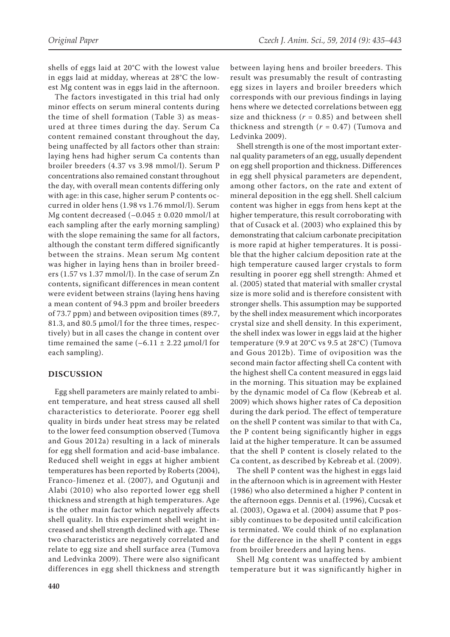shells of eggs laid at 20°C with the lowest value in eggs laid at midday, whereas at 28°C the lowest Mg content was in eggs laid in the afternoon.

The factors investigated in this trial had only minor effects on serum mineral contents during the time of shell formation (Table 3) as measured at three times during the day. Serum Ca content remained constant throughout the day, being unaffected by all factors other than strain: laying hens had higher serum Ca contents than broiler breeders (4.37 vs 3.98 mmol/l). Serum P concentrations also remained constant throughout the day, with overall mean contents differing only with age: in this case, higher serum P contents occurred in older hens (1.98 vs 1.76 mmol/l). Serum Mg content decreased  $(-0.045 \pm 0.020$  mmol/l at each sampling after the early morning sampling) with the slope remaining the same for all factors, although the constant term differed significantly between the strains. Mean serum Mg content was higher in laying hens than in broiler breeders (1.57 vs 1.37 mmol/l). In the case of serum Zn contents, significant differences in mean content were evident between strains (laying hens having a mean content of 94.3 ppm and broiler breeders of 73.7 ppm) and between oviposition times (89.7, 81.3, and 80.5 µmol/l for the three times, respectively) but in all cases the change in content over time remained the same  $(-6.11 \pm 2.22 \mu m o l/l$  for each sampling).

### **DISCUSSION**

Egg shell parameters are mainly related to ambient temperature, and heat stress caused all shell characteristics to deteriorate. Poorer egg shell quality in birds under heat stress may be related to the lower feed consumption observed (Tumova and Gous 2012a) resulting in a lack of minerals for egg shell formation and acid-base imbalance. Reduced shell weight in eggs at higher ambient temperatures has been reported by Roberts (2004), Franco-Jimenez et al. (2007), and Ogutunji and Alabi (2010) who also reported lower egg shell thickness and strength at high temperatures. Age is the other main factor which negatively affects shell quality. In this experiment shell weight increased and shell strength declined with age. These two characteristics are negatively correlated and relate to egg size and shell surface area (Tumova and Ledvinka 2009). There were also significant differences in egg shell thickness and strength

between laying hens and broiler breeders. This result was presumably the result of contrasting egg sizes in layers and broiler breeders which corresponds with our previous findings in laying hens where we detected correlations between egg size and thickness  $(r = 0.85)$  and between shell thickness and strength (*r* = 0.47) (Tumova and Ledvinka 2009).

Shell strength is one of the most important external quality parameters of an egg, usually dependent on egg shell proportion and thickness. Differences in egg shell physical parameters are dependent, among other factors, on the rate and extent of mineral deposition in the egg shell. Shell calcium content was higher in eggs from hens kept at the higher temperature, this result corroborating with that of Cusack et al. (2003) who explained this by demonstrating that calcium carbonate precipitation is more rapid at higher temperatures. It is possible that the higher calcium deposition rate at the high temperature caused larger crystals to form resulting in poorer egg shell strength: Ahmed et al. (2005) stated that material with smaller crystal size is more solid and is therefore consistent with stronger shells. This assumption may be supported by the shell index measurement which incorporates crystal size and shell density. In this experiment, the shell index was lower in eggs laid at the higher temperature (9.9 at 20°C vs 9.5 at 28°C) (Tumova and Gous 2012b). Time of oviposition was the second main factor affecting shell Ca content with the highest shell Ca content measured in eggs laid in the morning. This situation may be explained by the dynamic model of Ca flow (Kebreab et al. 2009) which shows higher rates of Ca deposition during the dark period. The effect of temperature on the shell P content was similar to that with Ca, the P content being significantly higher in eggs laid at the higher temperature. It can be assumed that the shell P content is closely related to the Ca content, as described by Kebreab et al. (2009).

The shell P content was the highest in eggs laid in the afternoon which is in agreement with Hester (1986) who also determined a higher P content in the afternoon eggs. Dennis et al. (1996), Cucsak et al. (2003), Ogawa et al. (2004) assume that P possibly continues to be deposited until calcification is terminated. We could think of no explanation for the difference in the shell P content in eggs from broiler breeders and laying hens.

Shell Mg content was unaffected by ambient temperature but it was significantly higher in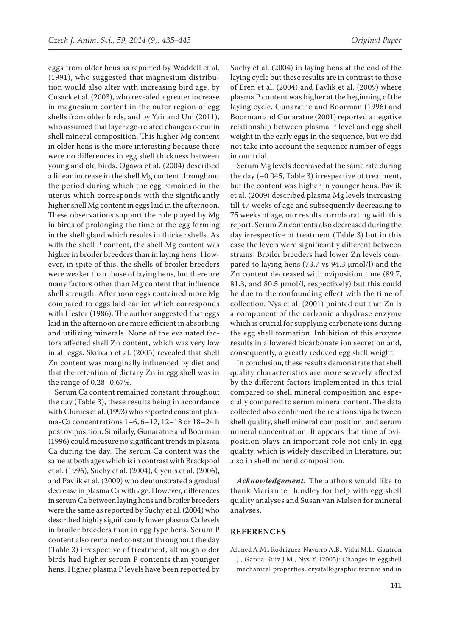eggs from older hens as reported by Waddell et al. (1991), who suggested that magnesium distribution would also alter with increasing bird age, by Cusack et al. (2003), who revealed a greater increase in magnesium content in the outer region of egg shells from older birds, and by Yair and Uni (2011), who assumed that layer age-related changes occur in shell mineral composition. This higher Mg content in older hens is the more interesting because there were no differences in egg shell thickness between young and old birds. Ogawa et al. (2004) described a linear increase in the shell Mg content throughout the period during which the egg remained in the uterus which corresponds with the significantly higher shell Mg content in eggs laid in the afternoon. These observations support the role played by Mg in birds of prolonging the time of the egg forming in the shell gland which results in thicker shells. As with the shell P content, the shell Mg content was higher in broiler breeders than in laying hens. However, in spite of this, the shells of broiler breeders were weaker than those of laying hens, but there are many factors other than Mg content that influence shell strength. Afternoon eggs contained more Mg compared to eggs laid earlier which corresponds with Hester (1986). The author suggested that eggs laid in the afternoon are more efficient in absorbing and utilizing minerals. None of the evaluated factors affected shell Zn content, which was very low in all eggs. Skrivan et al. (2005) revealed that shell Zn content was marginally influenced by diet and that the retention of dietary Zn in egg shell was in the range of 0.28–0.67%.

Serum Ca content remained constant throughout the day (Table 3), these results being in accordance with Clunies et al. (1993) who reported constant plasma-Ca concentrations 1–6, 6–12, 12–18 or 18–24 h post oviposition. Similarly, Gunaratne and Boorman (1996) could measure no significant trends in plasma Ca during the day. The serum Ca content was the same at both ages which is in contrast with Brackpool et al. (1996), Suchy et al. (2004), Gyenis et al. (2006), and Pavlik et al. (2009) who demonstrated a gradual decrease in plasma Ca with age. However, differences in serum Ca between laying hens and broiler breeders were the same as reported by Suchy et al. (2004) who described highly significantly lower plasma Ca levels in broiler breeders than in egg type hens. Serum P content also remained constant throughout the day (Table 3) irrespective of treatment, although older birds had higher serum P contents than younger hens. Higher plasma P levels have been reported by

Suchy et al. (2004) in laying hens at the end of the laying cycle but these results are in contrast to those of Eren et al. (2004) and Pavlik et al. (2009) where plasma P content was higher at the beginning of the laying cycle. Gunaratne and Boorman (1996) and Boorman and Gunaratne (2001) reported a negative relationship between plasma P level and egg shell weight in the early eggs in the sequence, but we did not take into account the sequence number of eggs in our trial.

Serum Mg levels decreased at the same rate during the day (–0.045, Table 3) irrespective of treatment, but the content was higher in younger hens. Pavlik et al. (2009) described plasma Mg levels increasing till 47 weeks of age and subsequently decreasing to 75 weeks of age, our results corroborating with this report. Serum Zn contents also decreased during the day irrespective of treatment (Table 3) but in this case the levels were significantly different between strains. Broiler breeders had lower Zn levels compared to laying hens (73.7 vs 94.3 µmol/l) and the Zn content decreased with oviposition time (89.7, 81.3, and 80.5 µmol/l, respectively) but this could be due to the confounding effect with the time of collection. Nys et al. (2001) pointed out that Zn is a component of the carbonic anhydrase enzyme which is crucial for supplying carbonate ions during the egg shell formation. Inhibition of this enzyme results in a lowered bicarbonate ion secretion and, consequently, a greatly reduced egg shell weight.

In conclusion, these results demonstrate that shell quality characteristics are more severely affected by the different factors implemented in this trial compared to shell mineral composition and especially compared to serum mineral content. The data collected also confirmed the relationships between shell quality, shell mineral composition, and serum mineral concentration. It appears that time of oviposition plays an important role not only in egg quality, which is widely described in literature, but also in shell mineral composition.

*Acknowledgement.* The authors would like to thank Marianne Hundley for help with egg shell quality analyses and Susan van Malsen for mineral analyses.

### **REFERENCES**

Ahmed A.M., Rodriguez-Navarro A.B., Vidal M.L., Gautron J., Garcia-Ruiz J.M., Nys Y. (2005): Changes in eggshell mechanical properties, crystallographic texture and in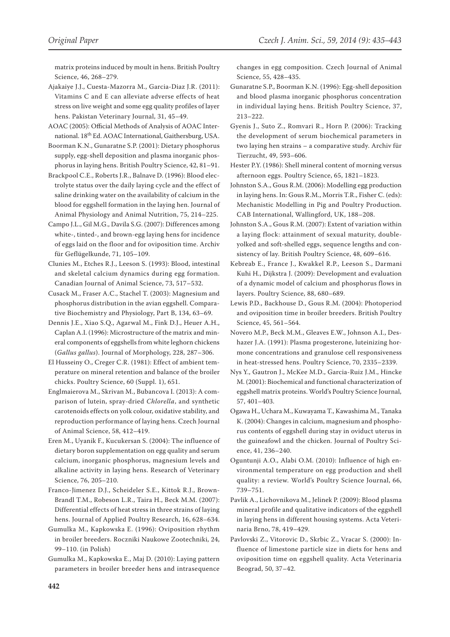matrix proteins induced by moult in hens. British Poultry Science, 46, 268–279.

Ajakaiye J.J., Cuesta-Mazorra M., Garcia-Diaz J.R. (2011): Vitamins C and E can alleviate adverse effects of heat stress on live weight and some egg quality profiles of layer hens. Pakistan Veterinary Journal, 31, 45–49.

AOAC (2005): Official Methods of Analysis of AOAC International. 18th Ed. AOAC International, Gaithersburg, USA.

Boorman K.N., Gunaratne S.P. (2001): Dietary phosphorus supply, egg-shell deposition and plasma inorganic phosphorus in laying hens. British Poultry Science, 42, 81–91.

Brackpool C.E., Roberts J.R., Balnave D. (1996): Blood electrolyte status over the daily laying cycle and the effect of saline drinking water on the availability of calcium in the blood for eggshell formation in the laying hen. Journal of Animal Physiology and Animal Nutrition, 75, 214–225.

Campo J.L., Gil M.G., Davila S.G. (2007): Differences among white-, tinted-, and brown-egg laying hens for incidence of eggs laid on the floor and for oviposition time. Archiv für Geflügelkunde, 71, 105–109.

Clunies M., Etches R.J., Leeson S. (1993): Blood, intestinal and skeletal calcium dynamics during egg formation. Canadian Journal of Animal Science, 73, 517–532.

Cusack M., Fraser A.C., Stachel T. (2003): Magnesium and phosphorus distribution in the avian eggshell. Comparative Biochemistry and Physiology, Part B, 134, 63–69.

Dennis J.E., Xiao S.Q., Agarwal M., Fink D.J., Heuer A.H., Caplan A.I. (1996): Microstructure of the matrix and mineral components of eggshells from white leghorn chickens (*Gallus gallus*). Journal of Morphology, 228, 287–306.

El Husseiny O., Creger C.R. (1981): Effect of ambient temperature on mineral retention and balance of the broiler chicks. Poultry Science, 60 (Suppl. 1), 651.

Englmaierova M., Skrivan M., Bubancova I. (2013): A comparison of lutein, spray-dried *Chlorella*, and synthetic carotenoids effects on yolk colour, oxidative stability, and reproduction performance of laying hens. Czech Journal of Animal Science, 58, 412–419.

Eren M., Uyanik F., Kucukersan S. (2004): The influence of dietary boron supplementation on egg quality and serum calcium, inorganic phosphorus, magnesium levels and alkaline activity in laying hens. Research of Veterinary Science, 76, 205–210.

Franco-Jimenez D.J., Scheideler S.E., Kittok R.J., Brown-Brandl T.M., Robeson L.R., Taira H., Beck M.M. (2007): Differential effects of heat stress in three strains of laying hens. Journal of Applied Poultry Research, 16, 628–634.

Gumulka M., Kapkowska E. (1996): Oviposition rhythm in broiler breeders. Roczniki Naukowe Zootechniki, 24, 99–110. (in Polish)

Gumulka M., Kapkowska E., Maj D. (2010): Laying pattern parameters in broiler breeder hens and intrasequence changes in egg composition. Czech Journal of Animal Science, 55, 428–435.

Gunaratne S.P., Boorman K.N. (1996): Egg-shell deposition and blood plasma inorganic phosphorus concentration in individual laying hens. British Poultry Science, 37, 213–222.

Gyenis J., Suto Z., Romvari R., Horn P. (2006): Tracking the development of serum biochemical parameters in two laying hen strains – a comparative study. Archiv für Tierzucht, 49, 593–606.

Hester P.Y. (1986): Shell mineral content of morning versus afternoon eggs. Poultry Science, 65, 1821–1823.

Johnston S.A., Gous R.M. (2006): Modelling egg production in laying hens. In: Gous R.M., Morris T.R., Fisher C. (eds): Mechanistic Modelling in Pig and Poultry Production. CAB International, Wallingford, UK, 188–208.

Johnston S.A., Gous R.M. (2007): Extent of variation within a laying flock: attainment of sexual maturity, doubleyolked and soft-shelled eggs, sequence lengths and consistency of lay. British Poultry Science, 48, 609–616.

Kebreab E., France J., Kwakkel R.P., Leeson S., Darmani Kuhi H., Dijkstra J. (2009): Development and evaluation of a dynamic model of calcium and phosphorus flows in layers. Poultry Science, 88, 680–689.

Lewis P.D., Backhouse D., Gous R.M. (2004): Photoperiod and oviposition time in broiler breeders. British Poultry Science, 45, 561–564.

Novero M.P., Beck M.M., Gleaves E.W., Johnson A.I., Deshazer J.A. (1991): Plasma progesterone, luteinizing hormone concentrations and granulose cell responsiveness in heat-stressed hens. Poultry Science, 70, 2335–2339.

Nys Y., Gautron J., McKee M.D., Garcia-Ruiz J.M., Hincke M. (2001): Biochemical and functional characterization of eggshell matrix proteins. World's Poultry Science Journal, 57, 401–403.

Ogawa H., Uchara M., Kuwayama T., Kawashima M., Tanaka K. (2004): Changes in calcium, magnesium and phosphorus contents of eggshell during stay in oviduct uterus in the guineafowl and the chicken. Journal of Poultry Science, 41, 236–240.

Oguntunji A.O., Alabi O.M. (2010): Influence of high environmental temperature on egg production and shell quality: a review. World's Poultry Science Journal, 66, 739–751.

Pavlik A., Lichovnikova M., Jelinek P. (2009): Blood plasma mineral profile and qualitative indicators of the eggshell in laying hens in different housing systems. Acta Veterinaria Brno, 78, 419–429.

Pavlovski Z., Vitorovic D., Skrbic Z., Vracar S. (2000): Influence of limestone particle size in diets for hens and oviposition time on eggshell quality. Acta Veterinaria Beograd, 50, 37–42.